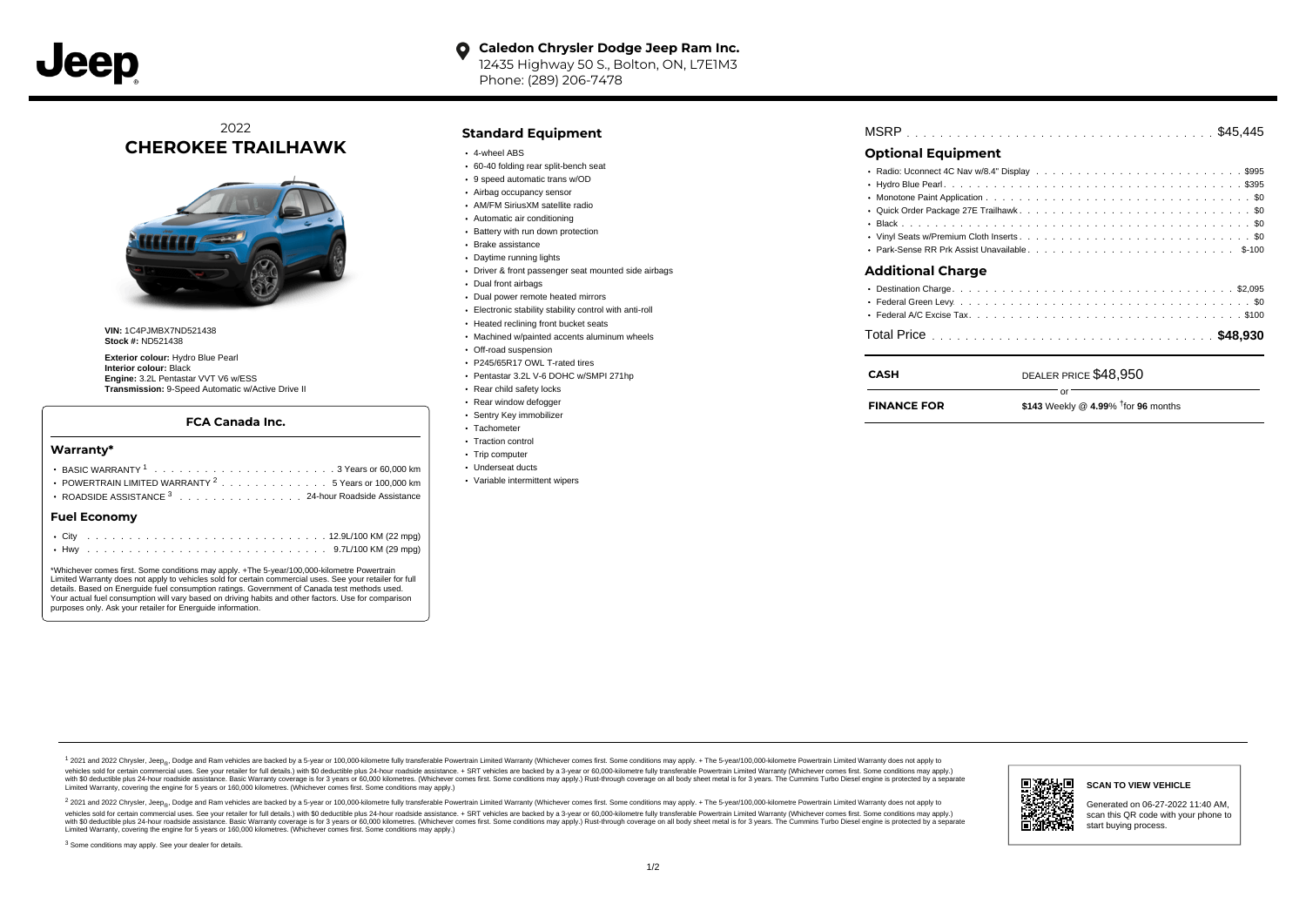#### $\bullet$ **Caledon Chrysler Dodge Jeep Ram Inc.** 12435 Highway 50 S., Bolton, ON, L7E1M3 Phone: (289) 206-7478

2022 **CHEROKEE TRAILHAWK**



**VIN:** 1C4PJMBX7ND521438 **Stock #:** ND521438

**Exterior colour:** Hydro Blue Pearl **Interior colour:** Black **Engine:** 3.2L Pentastar VVT V6 w/ESS **Transmission:** 9-Speed Automatic w/Active Drive II

## **FCA Canada Inc.**

#### **Warranty\***

| Fuel Feenemay                                                                          |
|----------------------------------------------------------------------------------------|
| • ROADSIDE ASSISTANCE 3 24-hour Roadside Assistance                                    |
| POWERTRAIN LIMITED WARRANTY $2, \ldots, \ldots, \ldots, \ldots, 5$ Years or 100.000 km |
|                                                                                        |
|                                                                                        |

### **Fuel Economy**

\*Whichever comes first. Some conditions may apply. +The 5-year/100,000-kilometre Powertrain Limited Warranty does not apply to vehicles sold for certain commercial uses. See your retailer for full details. Based on Energuide fuel consumption ratings. Government of Canada test methods used. Your actual fuel consumption will vary based on driving habits and other factors. Use for comparison purposes only. Ask your retailer for Energuide information.

# **Standard Equipment**

- 4-wheel ABS
- 60-40 folding rear split-bench seat
- 9 speed automatic trans w/OD
- Airbag occupancy sensor AM/FM SiriusXM satellite radio
- Automatic air conditioning
- 
- Battery with run down protection Brake assistance
- Daytime running lights
- 
- Driver & front passenger seat mounted side airbags
- Dual front airbags
- Dual power remote heated mirrors
- Electronic stability stability control with anti-roll
- Heated reclining front bucket seats
- Machined w/painted accents aluminum wheels
- Off-road suspension
- P245/65R17 OWL T-rated tires
- Pentastar 3.2L V-6 DOHC w/SMPI 271hp
- Rear child safety locks
- Rear window defogger
- Sentry Key immobilizer Tachometer
- Traction control
- Trip computer
- Underseat ducts
- Variable intermittent wipers

| <b>MSRP</b> |  |  |  |  |  |  |  |  |  |  |  |  |  |  |  |  |  |  |  |  |  |  |  |  |  |  |  |  |  |  |  |  |  |  |  |  |  |  |  |  |
|-------------|--|--|--|--|--|--|--|--|--|--|--|--|--|--|--|--|--|--|--|--|--|--|--|--|--|--|--|--|--|--|--|--|--|--|--|--|--|--|--|--|
|-------------|--|--|--|--|--|--|--|--|--|--|--|--|--|--|--|--|--|--|--|--|--|--|--|--|--|--|--|--|--|--|--|--|--|--|--|--|--|--|--|--|

# **Optional Equipment**

| <b>Additional Charge</b> |  |
|--------------------------|--|
|                          |  |
|                          |  |
|                          |  |

| <b>CASH</b>        | DEALER PRICE \$48,950                                    |
|--------------------|----------------------------------------------------------|
| <b>FINANCE FOR</b> | $\cap$ r<br>\$143 Weekly @ 4.99% $\dagger$ for 96 months |
|                    |                                                          |

#### 1 2021 and 2022 Chrysler, Jeep<sub>en</sub> Dodge and Ram vehicles are backed by a 5-year or 100,000-kilometre fully transferable Powertrain Limited Warranty (Whichever comes first. Some conditions may apply. + The 5-year/100,000-k vehicles sold for certain commercial uses. See your retailer for full details.) with \$0 deductible plus 24-hour roadside assistance. + SRT vehicles are backed by a 3-year or 60,000-kilometre fully transferable Powertrain L versus and contract the mean of the contract of the contract with a contract with a contract the contract of the search of the contract and a control of the contract and contract and control of the search of the search of Limited Warranty, covering the engine for 5 years or 160,000 kilometres. (Whichever comes first. Some conditions may apply.)

<sup>2</sup> 2021 and 2022 Chrysler, Jeep<sub>®</sub>, Dodge and Ram vehicles are backed by a 5-year or 100,000-kilometre fully transferable Powertrain Limited Warranty (Whichever comes first. Some conditions may apply. + The 5-year/100,000 vehicles sold for certain commercial uses. See your retailer for full details.) with SO deductible plus 24-hour roadside assistance. + SRT vehicles are backed by a 3-year or 60.000-kilometre fully transferable Powertrain L with S0 deductible plus 24-hour roadside assistance. Basic Warranty coverage is for 3 years or 60,000 kilometres. (Whichever comes first. Some conditions may apply.) Rust-through coverage on all body sheet metal is for 3 y



#### **SCAN TO VIEW VEHICLE**

Generated on 06-27-2022 11:40 AM, scan this QR code with your phone to start buying process.

<sup>3</sup> Some conditions may apply. See your dealer for details.